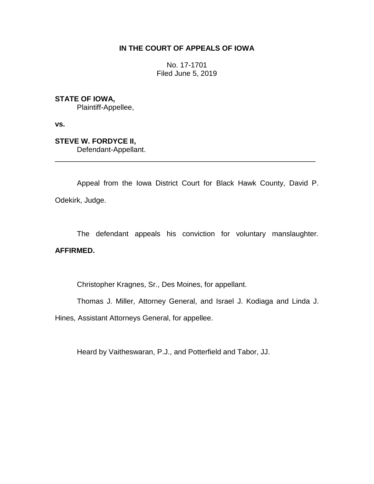# **IN THE COURT OF APPEALS OF IOWA**

No. 17-1701 Filed June 5, 2019

**STATE OF IOWA,**

Plaintiff-Appellee,

**vs.**

**STEVE W. FORDYCE II,** Defendant-Appellant. \_\_\_\_\_\_\_\_\_\_\_\_\_\_\_\_\_\_\_\_\_\_\_\_\_\_\_\_\_\_\_\_\_\_\_\_\_\_\_\_\_\_\_\_\_\_\_\_\_\_\_\_\_\_\_\_\_\_\_\_\_\_\_\_

Appeal from the Iowa District Court for Black Hawk County, David P. Odekirk, Judge.

The defendant appeals his conviction for voluntary manslaughter.

# **AFFIRMED.**

Christopher Kragnes, Sr., Des Moines, for appellant.

Thomas J. Miller, Attorney General, and Israel J. Kodiaga and Linda J.

Hines, Assistant Attorneys General, for appellee.

Heard by Vaitheswaran, P.J., and Potterfield and Tabor, JJ.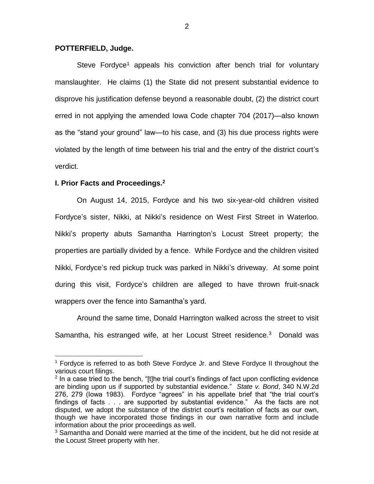#### **POTTERFIELD, Judge.**

Steve Fordyce<sup>1</sup> appeals his conviction after bench trial for voluntary manslaughter. He claims (1) the State did not present substantial evidence to disprove his justification defense beyond a reasonable doubt, (2) the district court erred in not applying the amended Iowa Code chapter 704 (2017)—also known as the "stand your ground" law—to his case, and (3) his due process rights were violated by the length of time between his trial and the entry of the district court's verdict.

### **I. Prior Facts and Proceedings. 2**

 $\overline{a}$ 

On August 14, 2015, Fordyce and his two six-year-old children visited Fordyce's sister, Nikki, at Nikki's residence on West First Street in Waterloo. Nikki's property abuts Samantha Harrington's Locust Street property; the properties are partially divided by a fence. While Fordyce and the children visited Nikki, Fordyce's red pickup truck was parked in Nikki's driveway. At some point during this visit, Fordyce's children are alleged to have thrown fruit-snack wrappers over the fence into Samantha's yard.

Around the same time, Donald Harrington walked across the street to visit Samantha, his estranged wife, at her Locust Street residence.<sup>3</sup> Donald was

<sup>1</sup> Fordyce is referred to as both Steve Fordyce Jr. and Steve Fordyce II throughout the various court filings.

 $2$  In a case tried to the bench, "[t]he trial court's findings of fact upon conflicting evidence are binding upon us if supported by substantial evidence." *State v. Bond*, 340 N.W.2d 276, 279 (Iowa 1983). Fordyce "agrees" in his appellate brief that "the trial court's findings of facts . . . are supported by substantial evidence." As the facts are not disputed, we adopt the substance of the district court's recitation of facts as our own, though we have incorporated those findings in our own narrative form and include information about the prior proceedings as well.

 $3$  Samantha and Donald were married at the time of the incident, but he did not reside at the Locust Street property with her.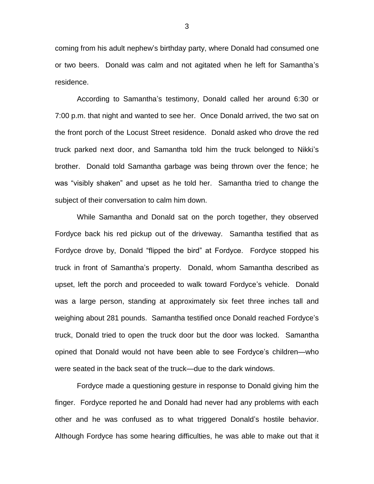coming from his adult nephew's birthday party, where Donald had consumed one or two beers. Donald was calm and not agitated when he left for Samantha's residence.

According to Samantha's testimony, Donald called her around 6:30 or 7:00 p.m. that night and wanted to see her. Once Donald arrived, the two sat on the front porch of the Locust Street residence. Donald asked who drove the red truck parked next door, and Samantha told him the truck belonged to Nikki's brother. Donald told Samantha garbage was being thrown over the fence; he was "visibly shaken" and upset as he told her. Samantha tried to change the subject of their conversation to calm him down.

While Samantha and Donald sat on the porch together, they observed Fordyce back his red pickup out of the driveway. Samantha testified that as Fordyce drove by, Donald "flipped the bird" at Fordyce. Fordyce stopped his truck in front of Samantha's property. Donald, whom Samantha described as upset, left the porch and proceeded to walk toward Fordyce's vehicle. Donald was a large person, standing at approximately six feet three inches tall and weighing about 281 pounds. Samantha testified once Donald reached Fordyce's truck, Donald tried to open the truck door but the door was locked. Samantha opined that Donald would not have been able to see Fordyce's children—who were seated in the back seat of the truck—due to the dark windows.

Fordyce made a questioning gesture in response to Donald giving him the finger. Fordyce reported he and Donald had never had any problems with each other and he was confused as to what triggered Donald's hostile behavior. Although Fordyce has some hearing difficulties, he was able to make out that it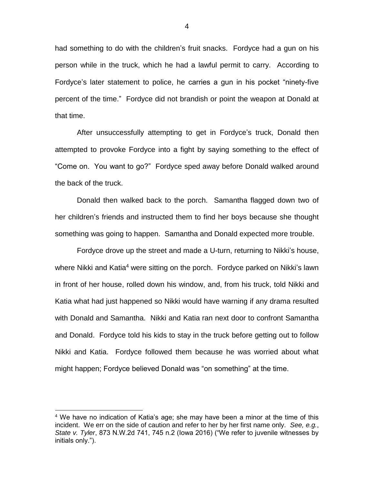had something to do with the children's fruit snacks. Fordyce had a gun on his person while in the truck, which he had a lawful permit to carry. According to Fordyce's later statement to police, he carries a gun in his pocket "ninety-five percent of the time." Fordyce did not brandish or point the weapon at Donald at that time.

After unsuccessfully attempting to get in Fordyce's truck, Donald then attempted to provoke Fordyce into a fight by saying something to the effect of "Come on. You want to go?" Fordyce sped away before Donald walked around the back of the truck.

Donald then walked back to the porch. Samantha flagged down two of her children's friends and instructed them to find her boys because she thought something was going to happen. Samantha and Donald expected more trouble.

Fordyce drove up the street and made a U-turn, returning to Nikki's house, where Nikki and Katia<sup>4</sup> were sitting on the porch. Fordyce parked on Nikki's lawn in front of her house, rolled down his window, and, from his truck, told Nikki and Katia what had just happened so Nikki would have warning if any drama resulted with Donald and Samantha. Nikki and Katia ran next door to confront Samantha and Donald. Fordyce told his kids to stay in the truck before getting out to follow Nikki and Katia. Fordyce followed them because he was worried about what might happen; Fordyce believed Donald was "on something" at the time.

 $\overline{a}$ 

 $4$  We have no indication of Katia's age; she may have been a minor at the time of this incident. We err on the side of caution and refer to her by her first name only. *See, e.g.*, *State v. Tyler*, 873 N.W.2d 741, 745 n.2 (Iowa 2016) ("We refer to juvenile witnesses by initials only.").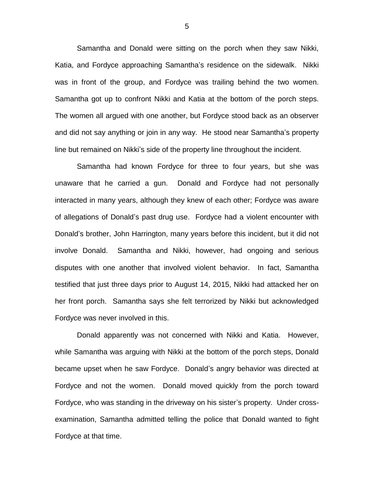Samantha and Donald were sitting on the porch when they saw Nikki, Katia, and Fordyce approaching Samantha's residence on the sidewalk. Nikki was in front of the group, and Fordyce was trailing behind the two women. Samantha got up to confront Nikki and Katia at the bottom of the porch steps. The women all argued with one another, but Fordyce stood back as an observer and did not say anything or join in any way. He stood near Samantha's property line but remained on Nikki's side of the property line throughout the incident.

Samantha had known Fordyce for three to four years, but she was unaware that he carried a gun. Donald and Fordyce had not personally interacted in many years, although they knew of each other; Fordyce was aware of allegations of Donald's past drug use. Fordyce had a violent encounter with Donald's brother, John Harrington, many years before this incident, but it did not involve Donald. Samantha and Nikki, however, had ongoing and serious disputes with one another that involved violent behavior. In fact, Samantha testified that just three days prior to August 14, 2015, Nikki had attacked her on her front porch. Samantha says she felt terrorized by Nikki but acknowledged Fordyce was never involved in this.

Donald apparently was not concerned with Nikki and Katia. However, while Samantha was arguing with Nikki at the bottom of the porch steps, Donald became upset when he saw Fordyce. Donald's angry behavior was directed at Fordyce and not the women. Donald moved quickly from the porch toward Fordyce, who was standing in the driveway on his sister's property. Under crossexamination, Samantha admitted telling the police that Donald wanted to fight Fordyce at that time.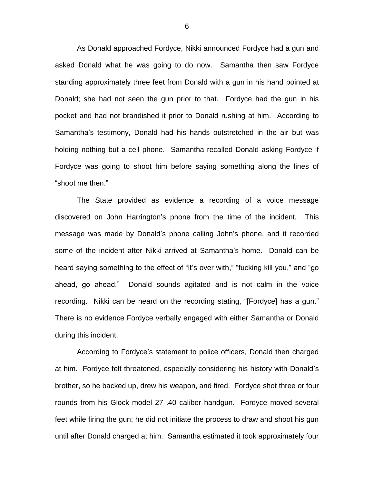As Donald approached Fordyce, Nikki announced Fordyce had a gun and asked Donald what he was going to do now. Samantha then saw Fordyce standing approximately three feet from Donald with a gun in his hand pointed at Donald; she had not seen the gun prior to that. Fordyce had the gun in his pocket and had not brandished it prior to Donald rushing at him. According to Samantha's testimony, Donald had his hands outstretched in the air but was holding nothing but a cell phone. Samantha recalled Donald asking Fordyce if Fordyce was going to shoot him before saying something along the lines of "shoot me then."

The State provided as evidence a recording of a voice message discovered on John Harrington's phone from the time of the incident. This message was made by Donald's phone calling John's phone, and it recorded some of the incident after Nikki arrived at Samantha's home. Donald can be heard saying something to the effect of "it's over with," "fucking kill you," and "go ahead, go ahead." Donald sounds agitated and is not calm in the voice recording. Nikki can be heard on the recording stating, "[Fordyce] has a gun." There is no evidence Fordyce verbally engaged with either Samantha or Donald during this incident.

According to Fordyce's statement to police officers, Donald then charged at him. Fordyce felt threatened, especially considering his history with Donald's brother, so he backed up, drew his weapon, and fired. Fordyce shot three or four rounds from his Glock model 27 .40 caliber handgun. Fordyce moved several feet while firing the gun; he did not initiate the process to draw and shoot his gun until after Donald charged at him. Samantha estimated it took approximately four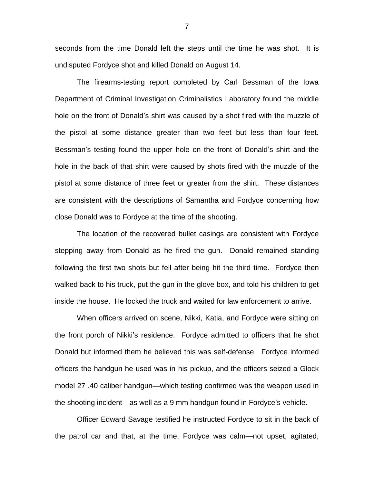seconds from the time Donald left the steps until the time he was shot. It is undisputed Fordyce shot and killed Donald on August 14.

The firearms-testing report completed by Carl Bessman of the Iowa Department of Criminal Investigation Criminalistics Laboratory found the middle hole on the front of Donald's shirt was caused by a shot fired with the muzzle of the pistol at some distance greater than two feet but less than four feet. Bessman's testing found the upper hole on the front of Donald's shirt and the hole in the back of that shirt were caused by shots fired with the muzzle of the pistol at some distance of three feet or greater from the shirt. These distances are consistent with the descriptions of Samantha and Fordyce concerning how close Donald was to Fordyce at the time of the shooting.

The location of the recovered bullet casings are consistent with Fordyce stepping away from Donald as he fired the gun. Donald remained standing following the first two shots but fell after being hit the third time. Fordyce then walked back to his truck, put the gun in the glove box, and told his children to get inside the house. He locked the truck and waited for law enforcement to arrive.

When officers arrived on scene, Nikki, Katia, and Fordyce were sitting on the front porch of Nikki's residence. Fordyce admitted to officers that he shot Donald but informed them he believed this was self-defense. Fordyce informed officers the handgun he used was in his pickup, and the officers seized a Glock model 27 .40 caliber handgun—which testing confirmed was the weapon used in the shooting incident—as well as a 9 mm handgun found in Fordyce's vehicle.

Officer Edward Savage testified he instructed Fordyce to sit in the back of the patrol car and that, at the time, Fordyce was calm—not upset, agitated,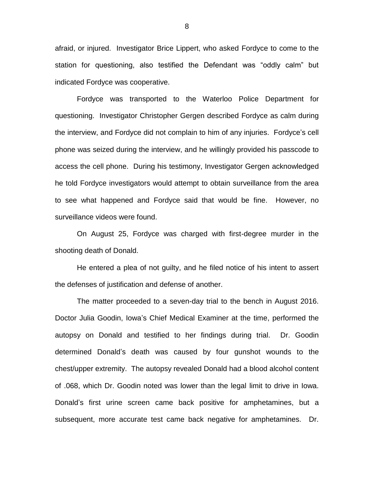afraid, or injured. Investigator Brice Lippert, who asked Fordyce to come to the station for questioning, also testified the Defendant was "oddly calm" but indicated Fordyce was cooperative.

Fordyce was transported to the Waterloo Police Department for questioning. Investigator Christopher Gergen described Fordyce as calm during the interview, and Fordyce did not complain to him of any injuries. Fordyce's cell phone was seized during the interview, and he willingly provided his passcode to access the cell phone. During his testimony, Investigator Gergen acknowledged he told Fordyce investigators would attempt to obtain surveillance from the area to see what happened and Fordyce said that would be fine. However, no surveillance videos were found.

On August 25, Fordyce was charged with first-degree murder in the shooting death of Donald.

He entered a plea of not guilty, and he filed notice of his intent to assert the defenses of justification and defense of another.

The matter proceeded to a seven-day trial to the bench in August 2016. Doctor Julia Goodin, Iowa's Chief Medical Examiner at the time, performed the autopsy on Donald and testified to her findings during trial. Dr. Goodin determined Donald's death was caused by four gunshot wounds to the chest/upper extremity. The autopsy revealed Donald had a blood alcohol content of .068, which Dr. Goodin noted was lower than the legal limit to drive in Iowa. Donald's first urine screen came back positive for amphetamines, but a subsequent, more accurate test came back negative for amphetamines. Dr.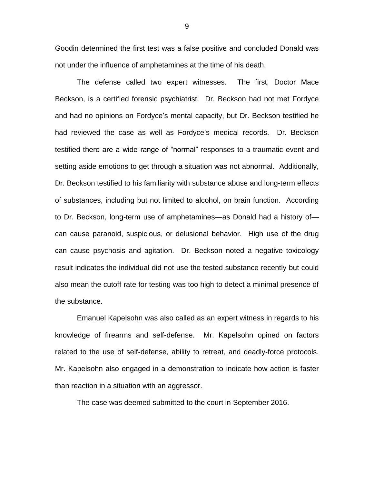Goodin determined the first test was a false positive and concluded Donald was not under the influence of amphetamines at the time of his death.

The defense called two expert witnesses. The first, Doctor Mace Beckson, is a certified forensic psychiatrist. Dr. Beckson had not met Fordyce and had no opinions on Fordyce's mental capacity, but Dr. Beckson testified he had reviewed the case as well as Fordyce's medical records. Dr. Beckson testified there are a wide range of "normal" responses to a traumatic event and setting aside emotions to get through a situation was not abnormal. Additionally, Dr. Beckson testified to his familiarity with substance abuse and long-term effects of substances, including but not limited to alcohol, on brain function. According to Dr. Beckson, long-term use of amphetamines—as Donald had a history of can cause paranoid, suspicious, or delusional behavior. High use of the drug can cause psychosis and agitation. Dr. Beckson noted a negative toxicology result indicates the individual did not use the tested substance recently but could also mean the cutoff rate for testing was too high to detect a minimal presence of the substance.

Emanuel Kapelsohn was also called as an expert witness in regards to his knowledge of firearms and self-defense. Mr. Kapelsohn opined on factors related to the use of self-defense, ability to retreat, and deadly-force protocols. Mr. Kapelsohn also engaged in a demonstration to indicate how action is faster than reaction in a situation with an aggressor.

The case was deemed submitted to the court in September 2016.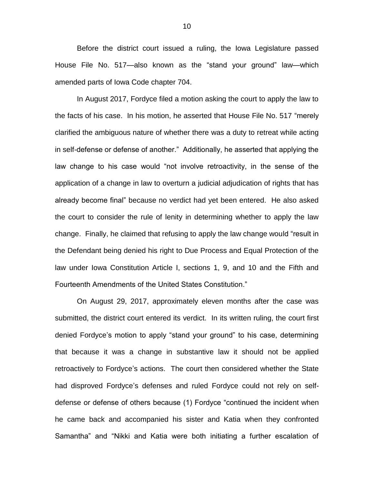Before the district court issued a ruling, the Iowa Legislature passed House File No. 517—also known as the "stand your ground" law—which amended parts of Iowa Code chapter 704.

In August 2017, Fordyce filed a motion asking the court to apply the law to the facts of his case. In his motion, he asserted that House File No. 517 "merely clarified the ambiguous nature of whether there was a duty to retreat while acting in self-defense or defense of another." Additionally, he asserted that applying the law change to his case would "not involve retroactivity, in the sense of the application of a change in law to overturn a judicial adjudication of rights that has already become final" because no verdict had yet been entered. He also asked the court to consider the rule of lenity in determining whether to apply the law change. Finally, he claimed that refusing to apply the law change would "result in the Defendant being denied his right to Due Process and Equal Protection of the law under Iowa Constitution Article I, sections 1, 9, and 10 and the Fifth and Fourteenth Amendments of the United States Constitution."

On August 29, 2017, approximately eleven months after the case was submitted, the district court entered its verdict. In its written ruling, the court first denied Fordyce's motion to apply "stand your ground" to his case, determining that because it was a change in substantive law it should not be applied retroactively to Fordyce's actions. The court then considered whether the State had disproved Fordyce's defenses and ruled Fordyce could not rely on selfdefense or defense of others because (1) Fordyce "continued the incident when he came back and accompanied his sister and Katia when they confronted Samantha" and "Nikki and Katia were both initiating a further escalation of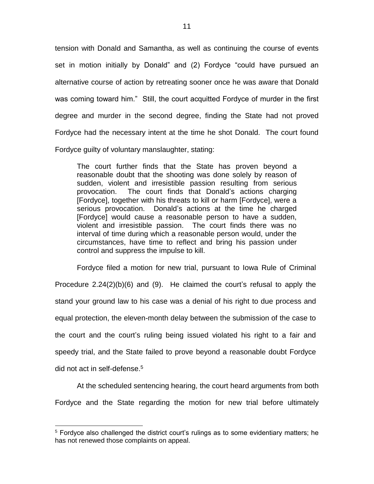tension with Donald and Samantha, as well as continuing the course of events set in motion initially by Donald" and (2) Fordyce "could have pursued an alternative course of action by retreating sooner once he was aware that Donald was coming toward him." Still, the court acquitted Fordyce of murder in the first degree and murder in the second degree, finding the State had not proved Fordyce had the necessary intent at the time he shot Donald. The court found Fordyce guilty of voluntary manslaughter, stating:

The court further finds that the State has proven beyond a reasonable doubt that the shooting was done solely by reason of sudden, violent and irresistible passion resulting from serious provocation. The court finds that Donald's actions charging [Fordyce], together with his threats to kill or harm [Fordyce], were a serious provocation. Donald's actions at the time he charged [Fordyce] would cause a reasonable person to have a sudden, violent and irresistible passion. The court finds there was no interval of time during which a reasonable person would, under the circumstances, have time to reflect and bring his passion under control and suppress the impulse to kill.

Fordyce filed a motion for new trial, pursuant to Iowa Rule of Criminal Procedure 2.24(2)(b)(6) and (9). He claimed the court's refusal to apply the stand your ground law to his case was a denial of his right to due process and equal protection, the eleven-month delay between the submission of the case to the court and the court's ruling being issued violated his right to a fair and speedy trial, and the State failed to prove beyond a reasonable doubt Fordyce did not act in self-defense.<sup>5</sup>

At the scheduled sentencing hearing, the court heard arguments from both Fordyce and the State regarding the motion for new trial before ultimately

 $\overline{a}$ 

<sup>5</sup> Fordyce also challenged the district court's rulings as to some evidentiary matters; he has not renewed those complaints on appeal.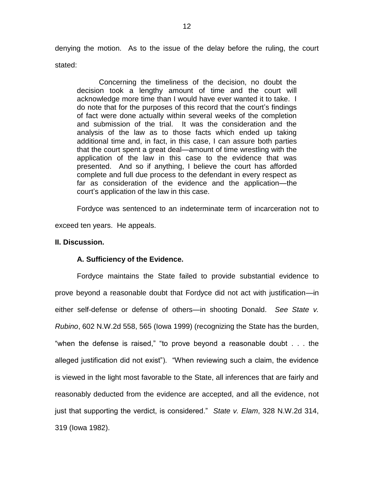denying the motion. As to the issue of the delay before the ruling, the court stated:

Concerning the timeliness of the decision, no doubt the decision took a lengthy amount of time and the court will acknowledge more time than I would have ever wanted it to take. I do note that for the purposes of this record that the court's findings of fact were done actually within several weeks of the completion and submission of the trial. It was the consideration and the analysis of the law as to those facts which ended up taking additional time and, in fact, in this case, I can assure both parties that the court spent a great deal—amount of time wrestling with the application of the law in this case to the evidence that was presented. And so if anything, I believe the court has afforded complete and full due process to the defendant in every respect as far as consideration of the evidence and the application—the court's application of the law in this case.

Fordyce was sentenced to an indeterminate term of incarceration not to

exceed ten years. He appeals.

## **II. Discussion.**

#### **A. Sufficiency of the Evidence.**

Fordyce maintains the State failed to provide substantial evidence to prove beyond a reasonable doubt that Fordyce did not act with justification—in either self-defense or defense of others—in shooting Donald. *See State v. Rubino*, 602 N.W.2d 558, 565 (Iowa 1999) (recognizing the State has the burden, "when the defense is raised," "to prove beyond a reasonable doubt . . . the alleged justification did not exist"). "When reviewing such a claim, the evidence is viewed in the light most favorable to the State, all inferences that are fairly and reasonably deducted from the evidence are accepted, and all the evidence, not just that supporting the verdict, is considered." *State v. Elam*, 328 N.W.2d 314, 319 (Iowa 1982).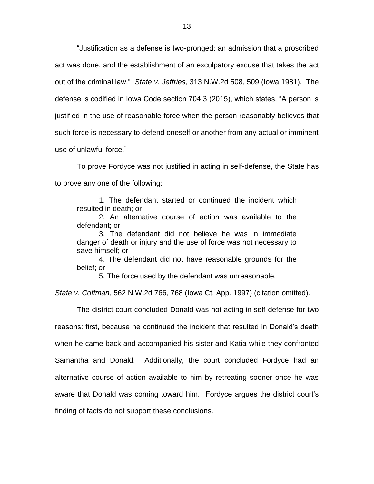"Justification as a defense is two-pronged: an admission that a proscribed act was done, and the establishment of an exculpatory excuse that takes the act out of the criminal law." *State v. Jeffries*, 313 N.W.2d 508, 509 (Iowa 1981). The defense is codified in Iowa Code section 704.3 (2015), which states, "A person is justified in the use of reasonable force when the person reasonably believes that such force is necessary to defend oneself or another from any actual or imminent use of unlawful force."

To prove Fordyce was not justified in acting in self-defense, the State has to prove any one of the following:

1. The defendant started or continued the incident which resulted in death; or

2. An alternative course of action was available to the defendant; or

3. The defendant did not believe he was in immediate danger of death or injury and the use of force was not necessary to save himself; or

4. The defendant did not have reasonable grounds for the belief; or

5. The force used by the defendant was unreasonable.

*State v. Coffman*, 562 N.W.2d 766, 768 (Iowa Ct. App. 1997) (citation omitted).

The district court concluded Donald was not acting in self-defense for two reasons: first, because he continued the incident that resulted in Donald's death when he came back and accompanied his sister and Katia while they confronted Samantha and Donald. Additionally, the court concluded Fordyce had an alternative course of action available to him by retreating sooner once he was aware that Donald was coming toward him. Fordyce argues the district court's finding of facts do not support these conclusions.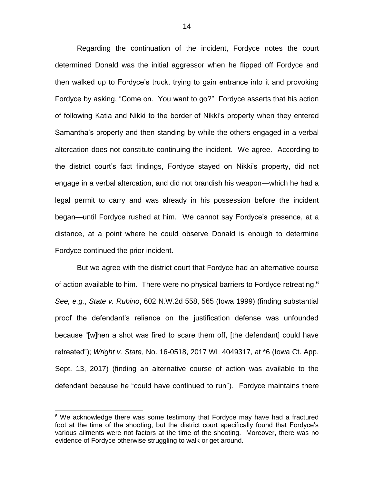Regarding the continuation of the incident, Fordyce notes the court determined Donald was the initial aggressor when he flipped off Fordyce and then walked up to Fordyce's truck, trying to gain entrance into it and provoking Fordyce by asking, "Come on. You want to go?" Fordyce asserts that his action of following Katia and Nikki to the border of Nikki's property when they entered Samantha's property and then standing by while the others engaged in a verbal altercation does not constitute continuing the incident. We agree. According to the district court's fact findings, Fordyce stayed on Nikki's property, did not engage in a verbal altercation, and did not brandish his weapon—which he had a legal permit to carry and was already in his possession before the incident began—until Fordyce rushed at him. We cannot say Fordyce's presence, at a distance, at a point where he could observe Donald is enough to determine Fordyce continued the prior incident.

But we agree with the district court that Fordyce had an alternative course of action available to him. There were no physical barriers to Fordyce retreating.<sup>6</sup> *See, e.g.*, *State v. Rubino*, 602 N.W.2d 558, 565 (Iowa 1999) (finding substantial proof the defendant's reliance on the justification defense was unfounded because "[w]hen a shot was fired to scare them off, [the defendant] could have retreated"); *Wright v. State*, No. 16-0518, 2017 WL 4049317, at \*6 (Iowa Ct. App. Sept. 13, 2017) (finding an alternative course of action was available to the defendant because he "could have continued to run"). Fordyce maintains there

 $\overline{a}$ 

 $6$  We acknowledge there was some testimony that Fordyce may have had a fractured foot at the time of the shooting, but the district court specifically found that Fordyce's various ailments were not factors at the time of the shooting. Moreover, there was no evidence of Fordyce otherwise struggling to walk or get around.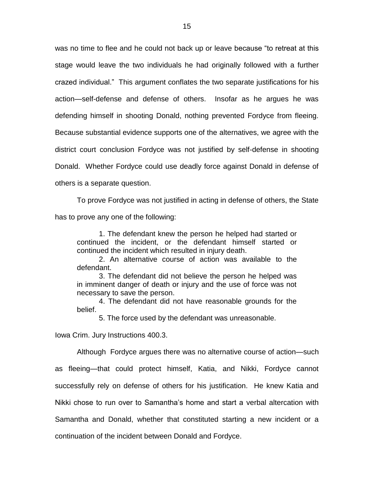was no time to flee and he could not back up or leave because "to retreat at this stage would leave the two individuals he had originally followed with a further crazed individual." This argument conflates the two separate justifications for his action—self-defense and defense of others. Insofar as he argues he was defending himself in shooting Donald, nothing prevented Fordyce from fleeing. Because substantial evidence supports one of the alternatives, we agree with the district court conclusion Fordyce was not justified by self-defense in shooting Donald. Whether Fordyce could use deadly force against Donald in defense of others is a separate question.

To prove Fordyce was not justified in acting in defense of others, the State has to prove any one of the following:

1. The defendant knew the person he helped had started or continued the incident, or the defendant himself started or continued the incident which resulted in injury death.

2. An alternative course of action was available to the defendant.

3. The defendant did not believe the person he helped was in imminent danger of death or injury and the use of force was not necessary to save the person.

4. The defendant did not have reasonable grounds for the belief.

5. The force used by the defendant was unreasonable.

Iowa Crim. Jury Instructions 400.3.

Although Fordyce argues there was no alternative course of action—such as fleeing—that could protect himself, Katia, and Nikki, Fordyce cannot successfully rely on defense of others for his justification. He knew Katia and Nikki chose to run over to Samantha's home and start a verbal altercation with Samantha and Donald, whether that constituted starting a new incident or a continuation of the incident between Donald and Fordyce.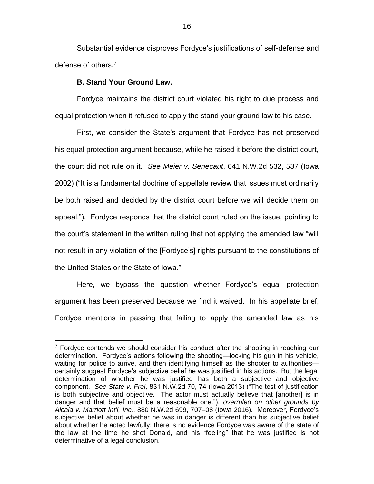Substantial evidence disproves Fordyce's justifications of self-defense and defense of others.<sup>7</sup>

#### **B. Stand Your Ground Law.**

 $\overline{a}$ 

Fordyce maintains the district court violated his right to due process and equal protection when it refused to apply the stand your ground law to his case.

First, we consider the State's argument that Fordyce has not preserved his equal protection argument because, while he raised it before the district court, the court did not rule on it. *See Meier v. Senecaut*, 641 N.W.2d 532, 537 (Iowa 2002) ("It is a fundamental doctrine of appellate review that issues must ordinarily be both raised and decided by the district court before we will decide them on appeal."). Fordyce responds that the district court ruled on the issue, pointing to the court's statement in the written ruling that not applying the amended law "will not result in any violation of the [Fordyce's] rights pursuant to the constitutions of the United States or the State of Iowa."

Here, we bypass the question whether Fordyce's equal protection argument has been preserved because we find it waived. In his appellate brief, Fordyce mentions in passing that failing to apply the amended law as his

 $7$  Fordyce contends we should consider his conduct after the shooting in reaching our determination. Fordyce's actions following the shooting—locking his gun in his vehicle, waiting for police to arrive, and then identifying himself as the shooter to authorities certainly suggest Fordyce's subjective belief he was justified in his actions. But the legal determination of whether he was justified has both a subjective and objective component. *See State v. Frei*, 831 N.W.2d 70, 74 (Iowa 2013) ("The test of justification is both subjective and objective. The actor must actually believe that [another] is in danger and that belief must be a reasonable one."), *overruled on other grounds by Alcala v. Marriott Int'l, Inc.*, 880 N.W.2d 699, 707–08 (Iowa 2016). Moreover, Fordyce's subjective belief about whether he was in danger is different than his subjective belief about whether he acted lawfully; there is no evidence Fordyce was aware of the state of the law at the time he shot Donald, and his "feeling" that he was justified is not determinative of a legal conclusion.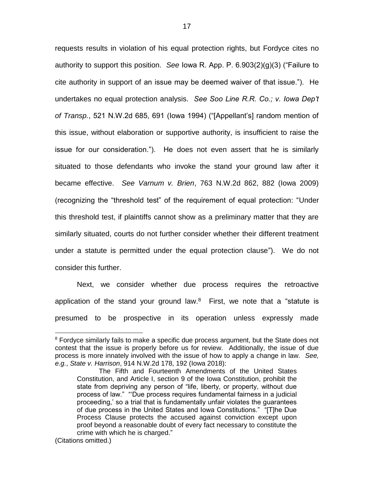requests results in violation of his equal protection rights, but Fordyce cites no authority to support this position. *See* Iowa R. App. P. 6.903(2)(g)(3) ("Failure to cite authority in support of an issue may be deemed waiver of that issue."). He undertakes no equal protection analysis. *See Soo Line R.R. Co.; v. Iowa Dep't of Transp.*, 521 N.W.2d 685, 691 (Iowa 1994) ("[Appellant's] random mention of this issue, without elaboration or supportive authority, is insufficient to raise the issue for our consideration."). He does not even assert that he is similarly situated to those defendants who invoke the stand your ground law after it became effective. *See Varnum v. Brien*, 763 N.W.2d 862, 882 (Iowa 2009) (recognizing the "threshold test" of the requirement of equal protection: "Under this threshold test, if plaintiffs cannot show as a preliminary matter that they are similarly situated, courts do not further consider whether their different treatment under a statute is permitted under the equal protection clause"). We do not consider this further.

Next, we consider whether due process requires the retroactive application of the stand your ground law. $8$  First, we note that a "statute is presumed to be prospective in its operation unless expressly made

 $\overline{a}$ 

<sup>&</sup>lt;sup>8</sup> Fordyce similarly fails to make a specific due process argument, but the State does not contest that the issue is properly before us for review. Additionally, the issue of due process is more innately involved with the issue of how to apply a change in law. *See, e.g.*, *State v. Harrison*, 914 N.W.2d 178, 192 (Iowa 2018):

The Fifth and Fourteenth Amendments of the United States Constitution, and Article I, section 9 of the Iowa Constitution, prohibit the state from depriving any person of "life, liberty, or property, without due process of law." "'Due process requires fundamental fairness in a judicial proceeding,' so a trial that is fundamentally unfair violates the guarantees of due process in the United States and Iowa Constitutions." "[T]he Due Process Clause protects the accused against conviction except upon proof beyond a reasonable doubt of every fact necessary to constitute the crime with which he is charged."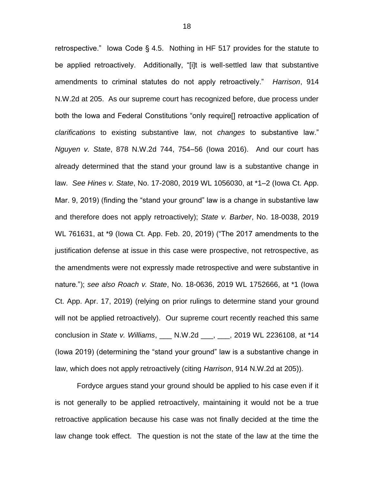retrospective." Iowa Code § 4.5. Nothing in HF 517 provides for the statute to be applied retroactively. Additionally, "[i]t is well-settled law that substantive amendments to criminal statutes do not apply retroactively." *Harrison*, 914 N.W.2d at 205. As our supreme court has recognized before, due process under both the Iowa and Federal Constitutions "only require[] retroactive application of *clarifications* to existing substantive law, not *changes* to substantive law." *Nguyen v. State*, 878 N.W.2d 744, 754–56 (Iowa 2016). And our court has already determined that the stand your ground law is a substantive change in law. *See Hines v. State*, No. 17-2080, 2019 WL 1056030, at \*1–2 (Iowa Ct. App. Mar. 9, 2019) (finding the "stand your ground" law is a change in substantive law and therefore does not apply retroactively); *State v. Barber*, No. 18-0038, 2019 WL 761631, at \*9 (Iowa Ct. App. Feb. 20, 2019) ("The 2017 amendments to the justification defense at issue in this case were prospective, not retrospective, as the amendments were not expressly made retrospective and were substantive in nature."); *see also Roach v. State*, No. 18-0636, 2019 WL 1752666, at \*1 (Iowa Ct. App. Apr. 17, 2019) (relying on prior rulings to determine stand your ground will not be applied retroactively). Our supreme court recently reached this same conclusion in *State v. Williams*, \_\_\_ N.W.2d \_\_\_, \_\_\_, 2019 WL 2236108, at \*14 (Iowa 2019) (determining the "stand your ground" law is a substantive change in law, which does not apply retroactively (citing *Harrison*, 914 N.W.2d at 205)).

Fordyce argues stand your ground should be applied to his case even if it is not generally to be applied retroactively, maintaining it would not be a true retroactive application because his case was not finally decided at the time the law change took effect. The question is not the state of the law at the time the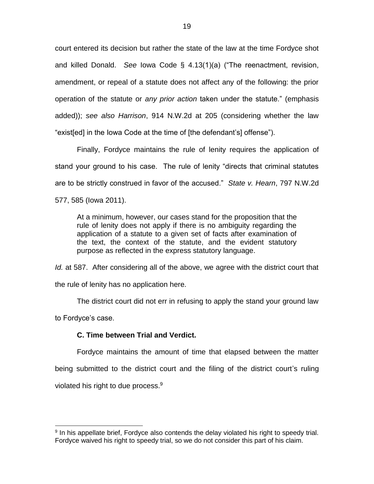court entered its decision but rather the state of the law at the time Fordyce shot and killed Donald. *See* Iowa Code § 4.13(1)(a) ("The reenactment, revision, amendment, or repeal of a statute does not affect any of the following: the prior operation of the statute or *any prior action* taken under the statute." (emphasis added)); *see also Harrison*, 914 N.W.2d at 205 (considering whether the law "exist[ed] in the Iowa Code at the time of [the defendant's] offense").

Finally, Fordyce maintains the rule of lenity requires the application of stand your ground to his case. The rule of lenity "directs that criminal statutes are to be strictly construed in favor of the accused." *State v. Hearn*, 797 N.W.2d 577, 585 (Iowa 2011).

At a minimum, however, our cases stand for the proposition that the rule of lenity does not apply if there is no ambiguity regarding the application of a statute to a given set of facts after examination of the text, the context of the statute, and the evident statutory purpose as reflected in the express statutory language.

*Id.* at 587. After considering all of the above, we agree with the district court that the rule of lenity has no application here.

The district court did not err in refusing to apply the stand your ground law

to Fordyce's case.

 $\overline{a}$ 

# **C. Time between Trial and Verdict.**

Fordyce maintains the amount of time that elapsed between the matter being submitted to the district court and the filing of the district court's ruling violated his right to due process. $9$ 

<sup>&</sup>lt;sup>9</sup> In his appellate brief, Fordyce also contends the delay violated his right to speedy trial. Fordyce waived his right to speedy trial, so we do not consider this part of his claim.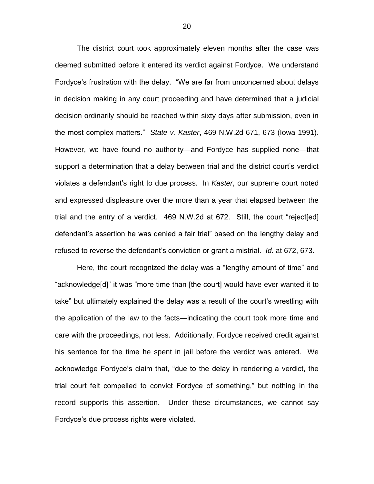The district court took approximately eleven months after the case was deemed submitted before it entered its verdict against Fordyce. We understand Fordyce's frustration with the delay. "We are far from unconcerned about delays in decision making in any court proceeding and have determined that a judicial decision ordinarily should be reached within sixty days after submission, even in the most complex matters." *State v. Kaster*, 469 N.W.2d 671, 673 (Iowa 1991). However, we have found no authority—and Fordyce has supplied none—that support a determination that a delay between trial and the district court's verdict violates a defendant's right to due process. In *Kaster*, our supreme court noted and expressed displeasure over the more than a year that elapsed between the trial and the entry of a verdict. 469 N.W.2d at 672. Still, the court "reject[ed] defendant's assertion he was denied a fair trial" based on the lengthy delay and refused to reverse the defendant's conviction or grant a mistrial. *Id.* at 672, 673.

Here, the court recognized the delay was a "lengthy amount of time" and "acknowledge[d]" it was "more time than [the court] would have ever wanted it to take" but ultimately explained the delay was a result of the court's wrestling with the application of the law to the facts—indicating the court took more time and care with the proceedings, not less. Additionally, Fordyce received credit against his sentence for the time he spent in jail before the verdict was entered. We acknowledge Fordyce's claim that, "due to the delay in rendering a verdict, the trial court felt compelled to convict Fordyce of something," but nothing in the record supports this assertion. Under these circumstances, we cannot say Fordyce's due process rights were violated.